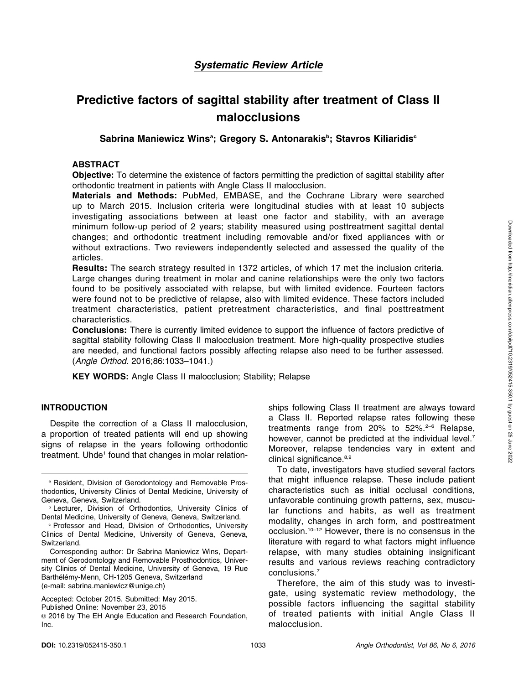# Predictive factors of sagittal stability after treatment of Class II malocclusions

Sabrina Maniewicz Wins<sup>a</sup>; Gregory S. Antonarakis<sup>ь</sup>; Stavros Kiliaridis<sup>c</sup>

# **ABSTRACT**

Objective: To determine the existence of factors permitting the prediction of sagittal stability after orthodontic treatment in patients with Angle Class II malocclusion.

Materials and Methods: PubMed, EMBASE, and the Cochrane Library were searched up to March 2015. Inclusion criteria were longitudinal studies with at least 10 subjects investigating associations between at least one factor and stability, with an average minimum follow-up period of 2 years; stability measured using posttreatment sagittal dental changes; and orthodontic treatment including removable and/or fixed appliances with or without extractions. Two reviewers independently selected and assessed the quality of the articles.

Results: The search strategy resulted in 1372 articles, of which 17 met the inclusion criteria. Large changes during treatment in molar and canine relationships were the only two factors found to be positively associated with relapse, but with limited evidence. Fourteen factors were found not to be predictive of relapse, also with limited evidence. These factors included treatment characteristics, patient pretreatment characteristics, and final posttreatment characteristics.

Conclusions: There is currently limited evidence to support the influence of factors predictive of sagittal stability following Class II malocclusion treatment. More high-quality prospective studies are needed, and functional factors possibly affecting relapse also need to be further assessed. (Angle Orthod. 2016;86:1033–1041.)

KEY WORDS: Angle Class II malocclusion; Stability; Relapse

# INTRODUCTION

Despite the correction of a Class II malocclusion, a proportion of treated patients will end up showing signs of relapse in the years following orthodontic treatment. Uhde<sup>1</sup> found that changes in molar relation-

Corresponding author: Dr Sabrina Maniewicz Wins, Department of Gerodontology and Removable Prosthodontics, University Clinics of Dental Medicine, University of Geneva, 19 Rue Barthélémy-Menn, CH-1205 Geneva, Switzerland (e-mail: sabrina.maniewicz@unige.ch)

Published Online: November 23, 2015

ships following Class II treatment are always toward a Class II. Reported relapse rates following these treatments range from 20% to 52%.2–6 Relapse, however, cannot be predicted at the individual level.<sup>7</sup> Moreover, relapse tendencies vary in extent and clinical significance.<sup>8,9</sup>

To date, investigators have studied several factors that might influence relapse. These include patient characteristics such as initial occlusal conditions, unfavorable continuing growth patterns, sex, muscular functions and habits, as well as treatment modality, changes in arch form, and posttreatment occlusion.10–12 However, there is no consensus in the literature with regard to what factors might influence relapse, with many studies obtaining insignificant results and various reviews reaching contradictory conclusions.7

Therefore, the aim of this study was to investigate, using systematic review methodology, the possible factors influencing the sagittal stability of treated patients with initial Angle Class II malocclusion.

<sup>a</sup> Resident, Division of Gerodontology and Removable Prosthodontics, University Clinics of Dental Medicine, University of Geneva, Geneva, Switzerland.

**Lecturer, Division of Orthodontics, University Clinics of** Dental Medicine, University of Geneva, Geneva, Switzerland.

<sup>c</sup> Professor and Head, Division of Orthodontics, University Clinics of Dental Medicine, University of Geneva, Geneva, Switzerland.

Accepted: October 2015. Submitted: May 2015.

<sup>G</sup> 2016 by The EH Angle Education and Research Foundation, Inc.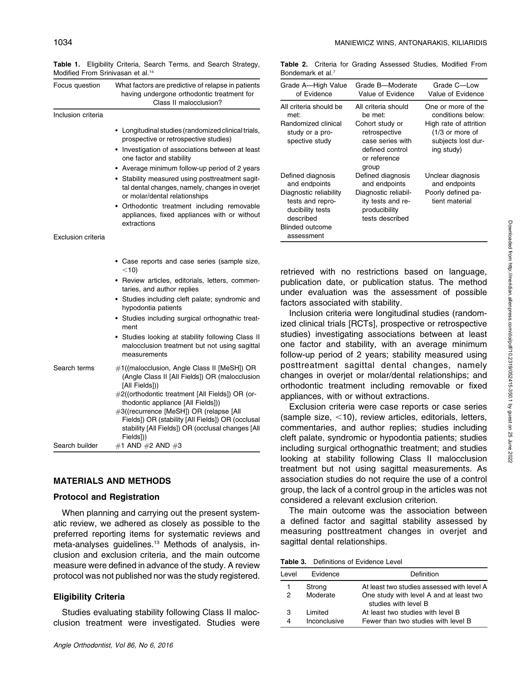| Modified From Srinivasan et al. <sup>14</sup> | <b>Table 1.</b> Eligibility Criteria, Search Terms, and Search Strategy,                                                   |
|-----------------------------------------------|----------------------------------------------------------------------------------------------------------------------------|
| Focus question                                | What factors are predictive of relapse in patients<br>having undergone orthodontic treatment for<br>Class II malocclusion? |
| Inclusion criteria                            |                                                                                                                            |

Table 1. Eligibility Criteria, Search Terms, and Search Strategy,

| Inclusion criteria |                                                                                                                                                                                                                                                                                                                                                                                                                                                                                   |
|--------------------|-----------------------------------------------------------------------------------------------------------------------------------------------------------------------------------------------------------------------------------------------------------------------------------------------------------------------------------------------------------------------------------------------------------------------------------------------------------------------------------|
|                    | • Longitudinal studies (randomized clinical trials,<br>prospective or retrospective studies)<br>• Investigation of associations between at least<br>one factor and stability<br>• Average minimum follow-up period of 2 years<br>• Stability measured using posttreatment sagit-<br>tal dental changes, namely, changes in overjet<br>or molar/dental relationships<br>• Orthodontic treatment including removable<br>appliances, fixed appliances with or without<br>extractions |
| Exclusion criteria |                                                                                                                                                                                                                                                                                                                                                                                                                                                                                   |
|                    | • Case reports and case series (sample size,<br>$<$ 10)<br>· Review articles, editorials, letters, commen-<br>taries, and author replies<br>• Studies including cleft palate; syndromic and<br>hypodontia patients<br>• Studies including surgical orthognathic treat-<br>ment<br>• Studies looking at stability following Class II<br>malocclusion treatment but not using sagittal<br>measurements                                                                              |
| Search terms       | #1((malocclusion, Angle Class II [MeSH]) OR<br>(Angle Class II [All Fields]) OR (malocclusion<br>[All Fields]))<br>#2((orthodontic treatment [All Fields]) OR (or-<br>thodontic appliance [All Fields]))<br>#3((recurrence [MeSH]) OR (relapse [All<br>Fields]) OR (stability [All Fields]) OR (occlusal<br>stability [All Fields]) OR (occlusal changes [All<br>Fields]))                                                                                                        |
| Search builder     | #1 AND #2 AND #3                                                                                                                                                                                                                                                                                                                                                                                                                                                                  |

MATERIALS AND METHODS

#### Protocol and Registration

When planning and carrying out the present systematic review, we adhered as closely as possible to the preferred reporting items for systematic reviews and meta-analyses guidelines.<sup>13</sup> Methods of analysis, inclusion and exclusion criteria, and the main outcome measure were defined in advance of the study. A review protocol was not published nor was the study registered.

# Eligibility Criteria

Studies evaluating stability following Class II malocclusion treatment were investigated. Studies were

Table 2. Criteria for Grading Assessed Studies, Modified From Bondemark et al.<sup>7</sup>

| Grade A-High Value<br>of Fvidence                                                                                 | Grade B-Moderate<br>Value of Evidence                                                                                                        | Grade C-Low<br>Value of Evidence                                                                                            |
|-------------------------------------------------------------------------------------------------------------------|----------------------------------------------------------------------------------------------------------------------------------------------|-----------------------------------------------------------------------------------------------------------------------------|
| All criteria should be<br>met:<br>Randomized clinical<br>study or a pro-<br>spective study                        | All criteria should<br>be met:<br>Cohort study or<br>retrospective<br>case series with<br>defined control                                    | One or more of the<br>conditions below:<br>High rate of attrition<br>$(1/3)$ or more of<br>subjects lost dur-<br>ing study) |
| Defined diagnosis<br>and endpoints<br>Diagnostic reliability<br>tests and repro-<br>ducibility tests<br>described | or reference<br>group<br>Defined diagnosis<br>and endpoints<br>Diagnostic reliabil-<br>ity tests and re-<br>producibility<br>tests described | Unclear diagnosis<br>and endpoints<br>Poorly defined pa-<br>tient material                                                  |
| <b>Blinded outcome</b><br>assessment                                                                              |                                                                                                                                              |                                                                                                                             |

retrieved with no restrictions based on language, publication date, or publication status. The method under evaluation was the assessment of possible factors associated with stability.

Inclusion criteria were longitudinal studies (randomized clinical trials [RCTs], prospective or retrospective studies) investigating associations between at least one factor and stability, with an average minimum follow-up period of 2 years; stability measured using posttreatment sagittal dental changes, namely changes in overjet or molar/dental relationships; and orthodontic treatment including removable or fixed appliances, with or without extractions.

Exclusion criteria were case reports or case series (sample size,  $<$ 10), review articles, editorials, letters, commentaries, and author replies; studies including cleft palate, syndromic or hypodontia patients; studies including surgical orthognathic treatment; and studies looking at stability following Class II malocclusion treatment but not using sagittal measurements. As association studies do not require the use of a control group, the lack of a control group in the articles was not considered a relevant exclusion criterion.

The main outcome was the association between a defined factor and sagittal stability assessed by measuring posttreatment changes in overjet and sagittal dental relationships.

|  | <b>Table 3.</b> Definitions of Evidence Level |  |  |  |
|--|-----------------------------------------------|--|--|--|
|--|-----------------------------------------------|--|--|--|

| Level | Evidence     | Definition                                                      |
|-------|--------------|-----------------------------------------------------------------|
|       | Strong       | At least two studies assessed with level A                      |
| 2     | Moderate     | One study with level A and at least two<br>studies with level B |
| 3     | I imited     | At least two studies with level B                               |
| 4     | Inconclusive | Fewer than two studies with level B                             |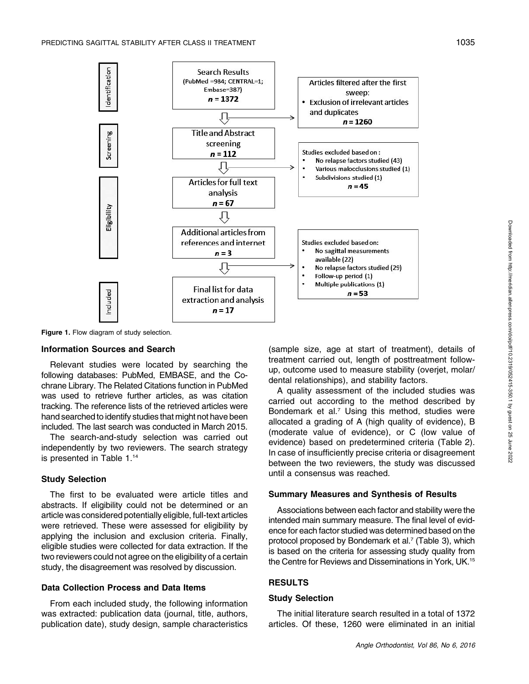

Figure 1. Flow diagram of study selection.

#### Information Sources and Search

Relevant studies were located by searching the following databases: PubMed, EMBASE, and the Cochrane Library. The Related Citations function in PubMed was used to retrieve further articles, as was citation tracking. The reference lists of the retrieved articles were hand searched to identify studies that might not have been included. The last search was conducted in March 2015.

The search-and-study selection was carried out independently by two reviewers. The search strategy is presented in Table 1.14

# Study Selection

The first to be evaluated were article titles and abstracts. If eligibility could not be determined or an article was considered potentially eligible, full-text articles were retrieved. These were assessed for eligibility by applying the inclusion and exclusion criteria. Finally, eligible studies were collected for data extraction. If the two reviewers could not agree on the eligibility of a certain study, the disagreement was resolved by discussion.

### Data Collection Process and Data Items

From each included study, the following information was extracted: publication data (journal, title, authors, publication date), study design, sample characteristics

(sample size, age at start of treatment), details of treatment carried out, length of posttreatment followup, outcome used to measure stability (overjet, molar/ dental relationships), and stability factors.

A quality assessment of the included studies was carried out according to the method described by Bondemark et al.<sup>7</sup> Using this method, studies were allocated a grading of A (high quality of evidence), B (moderate value of evidence), or C (low value of evidence) based on predetermined criteria (Table 2). In case of insufficiently precise criteria or disagreement between the two reviewers, the study was discussed until a consensus was reached.

#### Summary Measures and Synthesis of Results

Associations between each factor and stability were the intended main summary measure. The final level of evidence for each factor studied was determined based on the protocol proposed by Bondemark et al.<sup>7</sup> (Table 3), which is based on the criteria for assessing study quality from the Centre for Reviews and Disseminations in York, UK.15

#### RESULTS

# Study Selection

The initial literature search resulted in a total of 1372 articles. Of these, 1260 were eliminated in an initial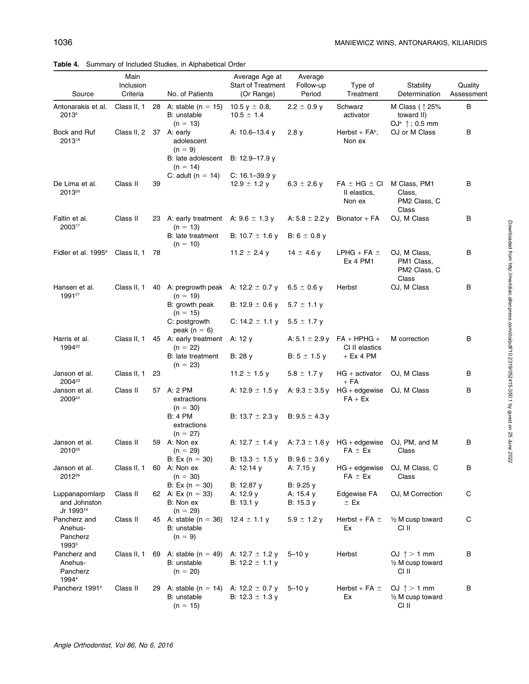| Source                                                   | Main<br>Inclusion<br>Criteria |    | No. of Patients                                        | Average Age at<br><b>Start of Treatment</b><br>(Or Range) | Average<br>Follow-up<br>Period | Type of<br>Treatment                             | Stability<br>Determination                           | Quality<br>Assessment |
|----------------------------------------------------------|-------------------------------|----|--------------------------------------------------------|-----------------------------------------------------------|--------------------------------|--------------------------------------------------|------------------------------------------------------|-----------------------|
| Antonarakis et al.<br>20135                              | Class II, 1                   |    | 28 A: stable $(n = 15)$<br>B: unstable                 | 10.5 y $\pm$ 0.8,<br>$10.5 \pm 1.4$                       | $2.2 \pm 0.9$ y                | Schwarz<br>activator                             | M Class ( $\uparrow$ 25%<br>toward II)               | B                     |
| Bock and Ruf<br>201318                                   | Class II, 2                   |    | $(n = 13)$<br>37 A: early<br>adolescent<br>$(n = 9)$   | A: 10.6-13.4 y                                            | 2.8y                           | Herbst + $FA^b$ ,<br>Non ex                      | OJ <sup>a</sup> $\uparrow$ ; 0.5 mm<br>OJ or M Class | В                     |
|                                                          |                               |    | B: late adolescent<br>$(n = 14)$                       | B: 12.9-17.9 y                                            |                                |                                                  |                                                      |                       |
|                                                          |                               |    | C: adult ( $n = 14$ )                                  | C: $16.1 - 39.9$ y                                        |                                |                                                  |                                                      |                       |
| De Lima et al.<br>201320                                 | Class II                      | 39 |                                                        | 12.9 $\pm$ 1.2 y                                          | $6.3 \pm 2.6$ y                | $FA \pm HG \pm CI$<br>II elastics,<br>Non ex     | M Class, PM1<br>Class,<br>PM2 Class, C<br>Class      | В                     |
| Faltin et al.<br>200317                                  | Class II                      |    | 23 A: early treatment<br>$(n = 13)$                    | A: $9.6 \pm 1.3$ y                                        | A: $5.8 \pm 2.2$ y             | Bionator + FA                                    | OJ, M Class                                          | в                     |
|                                                          |                               |    | B: late treatment<br>$(n = 10)$                        | B: $10.7 \pm 1.6$ y                                       | B: 6 $\pm$ 0.8 y               |                                                  |                                                      |                       |
| Fidler et al. 1995 <sup>9</sup>                          | Class II, 1                   | 78 |                                                        | 11.2 $\pm$ 2.4 y                                          | 14 $\pm$ 4.6 y                 | LPHG + FA $\pm$<br>Ex 4 PM1                      | OJ, M Class,<br>PM1 Class,<br>PM2 Class, C<br>Class  | B                     |
| Hansen et al.<br>199121                                  | Class II, 1                   |    | 40 A: pregrowth peak A: $12.2 \pm 0.7$ y<br>$(n = 19)$ |                                                           | $6.5 \pm 0.6$ y                | Herbst                                           | OJ, M Class                                          | В                     |
|                                                          |                               |    | B: growth peak<br>$(n = 15)$                           | B: $12.9 \pm 0.6$ y                                       | $5.7 \pm 1.1$ y                |                                                  |                                                      |                       |
|                                                          |                               |    | C: postgrowth<br>peak ( $n = 6$ )                      | C: $14.2 \pm 1.1$ y                                       | $5.5 \pm 1.7$ y                |                                                  |                                                      |                       |
| Harris et al.<br>1994 <sup>22</sup>                      | Class II, 1                   |    | 45 A: early treatment<br>$(n = 22)$                    | A: 12 y                                                   |                                | A: $5.1 \pm 2.9$ y FA + HPHG +<br>CI II elastics | M correction                                         | в                     |
|                                                          |                               |    | B: late treatment<br>$(n = 23)$                        | B: 28 y                                                   | $B: 5 \pm 1.5$ y               | $+$ Ex 4 PM                                      |                                                      |                       |
| Janson et al.<br>2004 <sup>23</sup>                      | Class II, 1                   | 23 |                                                        | 11.2 $\pm$ 1.5 y                                          | $5.8 \pm 1.7$ y                | $HG + activator$<br>+ FA                         | OJ, M Class                                          | в                     |
| Janson et al.<br>2009 <sup>24</sup>                      | Class II                      |    | 57 A: 2 PM<br>extractions<br>$(n = 30)$                | A: $12.9 \pm 1.5$ y                                       |                                | A: $9.3 \pm 3.5$ y HG + edgewise<br>$FA + Ex$    | OJ, M Class                                          | В                     |
|                                                          |                               |    | <b>B: 4 PM</b><br>extractions<br>$(n = 27)$            | B: 13.7 $\pm$ 2.3 v                                       | B: $9.5 \pm 4.3$ y             |                                                  |                                                      |                       |
| Janson et al.<br>2010 <sup>25</sup>                      | Class II                      | 59 | A: Non ex<br>$(n = 29)$                                | A: $12.7 \pm 1.4$ y                                       |                                | A: $7.3 \pm 1.6$ y HG + edgewise<br>$FA \pm Ex$  | OJ, PM, and M<br>Class                               | В                     |
|                                                          |                               |    | B: Ex $(n = 30)$                                       | B: $13.3 \pm 1.5$ y                                       | B: $9.6 \pm 3.6$ y             |                                                  |                                                      |                       |
| Janson et al.<br>2012 <sup>26</sup>                      | Class II, 1                   |    | 60 A: Non ex<br>$(n = 30)$                             | A: 12.14 y                                                | A: 7.15 y                      | $HG + edgewise$<br>$FA \pm Ex$                   | OJ, M Class, C<br>Class                              | в                     |
| Luppanapornlarp                                          | Class II                      |    | B: Ex $(n = 30)$<br>62 A: Ex $(n = 33)$                | B: 12.87 y                                                | $B: 9.25$ y                    | Edgewise FA                                      | OJ, M Correction                                     | С                     |
| and Johnston<br>Jr 1993 <sup>19</sup>                    |                               |    | B: Non ex<br>$(n = 29)$                                | A: 12.9 y<br>B: 13.1 y                                    | A: 15.4 y<br>B: 15.3 y         | $±$ Ex                                           |                                                      |                       |
| Pancherz and<br>Anehus-<br>Pancherz<br>1993 <sup>3</sup> | Class II                      |    | 45 A: stable $(n = 36)$<br>B: unstable<br>$(n = 9)$    | 12.4 $\pm$ 1.1 y                                          | $5.9 \pm 1.2$ y                | Herbst + FA $\pm$<br>Ex                          | 1/2 M cusp toward<br>CI II                           | С                     |
| Pancherz and<br>Anehus-<br>Pancherz<br>19944             | Class II, 1                   | 69 | A: stable ( $n = 49$ )<br>B: unstable<br>$(n = 20)$    | A: $12.7 \pm 1.2$ y<br>B: 12.2 $\pm$ 1.1 y                | $5 - 10y$                      | Herbst                                           | OJ $\uparrow$ > 1 mm<br>1/2 M cusp toward<br>CI II   | В                     |
| Pancherz 1991 <sup>2</sup>                               | Class II                      | 29 | A: stable ( $n = 14$ )<br>B: unstable<br>$(n = 15)$    | A: $12.2 \pm 0.7$ y<br>B: $12.3 \pm 1.3$ y                | 5–10 y                         | Herbst + FA $\pm$<br>Ex                          | OJ $\uparrow$ > 1 mm<br>1/2 M cusp toward<br>CI II   | В                     |

Table 4. Summary of Included Studies, in Alphabetical Order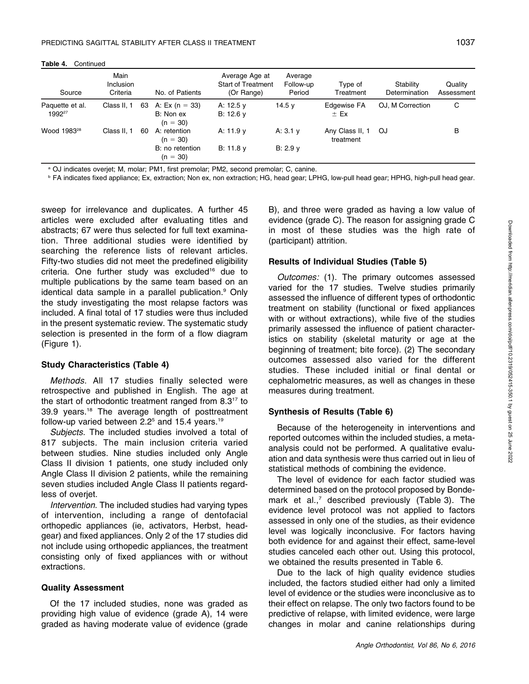Table 4. Continued

| Source                                | Main<br><b>Inclusion</b><br>Criteria |    | No. of Patients                           | Average Age at<br><b>Start of Treatment</b><br>(Or Range) | Average<br>Follow-up<br>Period | Type of<br>Treatment         | Stability<br>Determination | Quality<br>Assessment |
|---------------------------------------|--------------------------------------|----|-------------------------------------------|-----------------------------------------------------------|--------------------------------|------------------------------|----------------------------|-----------------------|
| Paquette et al.<br>1992 <sup>27</sup> | Class II. 1                          | 63 | A: Ex (n = 33)<br>B: Non ex<br>$(n = 30)$ | A: 12.5 v<br>B: 12.6 v                                    | 14.5 $v$                       | Edgewise FA<br>$\pm$ Ex      | OJ. M Correction           | C                     |
| Wood 1983 <sup>28</sup>               | Class II. 1                          | 60 | A: retention<br>$(n = 30)$                | A: 11.9 v                                                 | A: $3.1v$                      | Any Class II, 1<br>treatment | OJ                         | в                     |
|                                       |                                      |    | B: no retention<br>$(n = 30)$             | $B: 11.8$ v                                               | B: 2.9 v                       |                              |                            |                       |

<sup>a</sup> OJ indicates overjet; M, molar; PM1, first premolar; PM2, second premolar; C, canine.

<sup>b</sup> FA indicates fixed appliance; Ex, extraction; Non ex, non extraction; HG, head gear; LPHG, low-pull head gear; HPHG, high-pull head gear.

sweep for irrelevance and duplicates. A further 45 articles were excluded after evaluating titles and abstracts; 67 were thus selected for full text examination. Three additional studies were identified by searching the reference lists of relevant articles. Fifty-two studies did not meet the predefined eligibility criteria. One further study was excluded<sup>16</sup> due to multiple publications by the same team based on an identical data sample in a parallel publication.<sup>9</sup> Only the study investigating the most relapse factors was included. A final total of 17 studies were thus included in the present systematic review. The systematic study selection is presented in the form of a flow diagram (Figure 1).

#### Study Characteristics (Table 4)

Methods. All 17 studies finally selected were retrospective and published in English. The age at the start of orthodontic treatment ranged from 8.317 to 39.9 years.18 The average length of posttreatment follow-up varied between  $2.2<sup>5</sup>$  and 15.4 years.<sup>19</sup>

Subjects. The included studies involved a total of 817 subjects. The main inclusion criteria varied between studies. Nine studies included only Angle Class II division 1 patients, one study included only Angle Class II division 2 patients, while the remaining seven studies included Angle Class II patients regardless of overjet.

Intervention. The included studies had varying types of intervention, including a range of dentofacial orthopedic appliances (ie, activators, Herbst, headgear) and fixed appliances. Only 2 of the 17 studies did not include using orthopedic appliances, the treatment consisting only of fixed appliances with or without extractions.

#### Quality Assessment

Of the 17 included studies, none was graded as providing high value of evidence (grade A), 14 were graded as having moderate value of evidence (grade

B), and three were graded as having a low value of evidence (grade C). The reason for assigning grade C in most of these studies was the high rate of (participant) attrition.

### Results of Individual Studies (Table 5)

Outcomes: (1). The primary outcomes assessed varied for the 17 studies. Twelve studies primarily assessed the influence of different types of orthodontic treatment on stability (functional or fixed appliances with or without extractions), while five of the studies primarily assessed the influence of patient characteristics on stability (skeletal maturity or age at the beginning of treatment; bite force). (2) The secondary outcomes assessed also varied for the different studies. These included initial or final dental or cephalometric measures, as well as changes in these measures during treatment.

#### Synthesis of Results (Table 6)

Because of the heterogeneity in interventions and reported outcomes within the included studies, a metaanalysis could not be performed. A qualitative evaluation and data synthesis were thus carried out in lieu of statistical methods of combining the evidence.

The level of evidence for each factor studied was determined based on the protocol proposed by Bondemark et al., $7$  described previously (Table 3). The evidence level protocol was not applied to factors assessed in only one of the studies, as their evidence level was logically inconclusive. For factors having both evidence for and against their effect, same-level studies canceled each other out. Using this protocol, we obtained the results presented in Table 6.

Due to the lack of high quality evidence studies included, the factors studied either had only a limited level of evidence or the studies were inconclusive as to their effect on relapse. The only two factors found to be predictive of relapse, with limited evidence, were large changes in molar and canine relationships during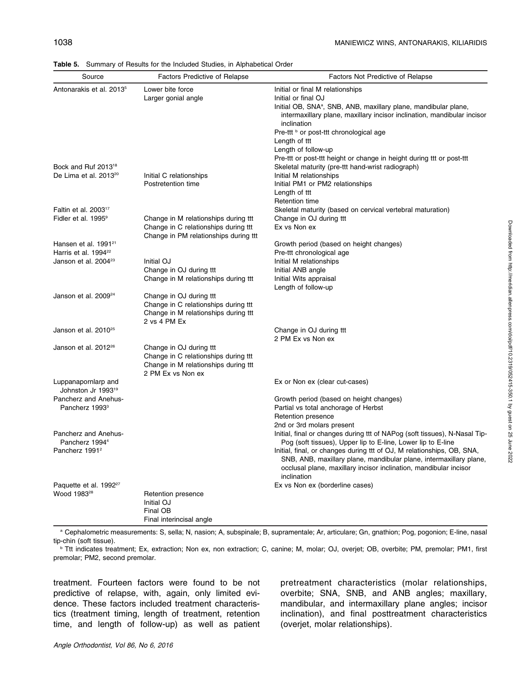| Lower bite force<br>Initial or final M relationships<br>Larger gonial angle<br>Initial or final OJ<br>Initial OB, SNA <sup>a</sup> , SNB, ANB, maxillary plane, mandibular plane,<br>inclination<br>Pre-ttt <sup>b</sup> or post-ttt chronological age<br>Length of ttt<br>Length of follow-up<br>Pre-ttt or post-ttt height or change in height during ttt or post-ttt<br>Bock and Ruf 2013 <sup>18</sup><br>Skeletal maturity (pre-ttt hand-wrist radiograph)<br>Initial C relationships<br>Initial M relationships<br>Postretention time<br>Initial PM1 or PM2 relationships<br>Length of ttt<br><b>Retention time</b><br>Skeletal maturity (based on cervical vertebral maturation)<br>Fidler et al. 1995 <sup>9</sup><br>Change in M relationships during ttt<br>Change in OJ during ttt<br>Change in C relationships during ttt<br>Ex vs Non ex<br>Change in PM relationships during ttt<br>Growth period (based on height changes)<br>Pre-ttt chronological age<br>Janson et al. 2004 <sup>23</sup><br>Initial OJ<br>Initial M relationships<br>Change in OJ during ttt<br>Initial ANB angle<br>Change in M relationships during ttt<br>Initial Wits appraisal<br>Length of follow-up<br>Janson et al. 2009 <sup>24</sup><br>Change in OJ during ttt<br>Change in C relationships during ttt<br>Change in M relationships during ttt<br>2 vs 4 PM Ex<br>Janson et al. 2010 <sup>25</sup><br>Change in OJ during ttt<br>2 PM Ex vs Non ex<br>Change in OJ during ttt<br>Change in C relationships during ttt<br>Change in M relationships during ttt<br>2 PM Ex vs Non ex<br>Ex or Non ex (clear cut-cases)<br>Johnston Jr 1993 <sup>19</sup><br>Growth period (based on height changes)<br>Pancherz 1993 <sup>3</sup><br>Partial vs total anchorage of Herbst<br>Retention presence<br>2nd or 3rd molars present<br>Pancherz 1994 <sup>4</sup><br>Pog (soft tissues), Upper lip to E-line, Lower lip to E-line<br>Pancherz 1991 <sup>2</sup><br>Initial, final, or changes during ttt of OJ, M relationships, OB, SNA,<br>SNB, ANB, maxillary plane, mandibular plane, intermaxillary plane,<br>occlusal plane, maxillary incisor inclination, mandibular incisor<br>inclination<br>Ex vs Non ex (borderline cases)<br>Paquette et al. 1992 <sup>27</sup><br>Wood 1983 <sup>28</sup><br>Retention presence<br>Initial OJ<br>Final OB | Source                               | <b>Factors Predictive of Relapse</b> | <b>Factors Not Predictive of Relapse</b> |
|---------------------------------------------------------------------------------------------------------------------------------------------------------------------------------------------------------------------------------------------------------------------------------------------------------------------------------------------------------------------------------------------------------------------------------------------------------------------------------------------------------------------------------------------------------------------------------------------------------------------------------------------------------------------------------------------------------------------------------------------------------------------------------------------------------------------------------------------------------------------------------------------------------------------------------------------------------------------------------------------------------------------------------------------------------------------------------------------------------------------------------------------------------------------------------------------------------------------------------------------------------------------------------------------------------------------------------------------------------------------------------------------------------------------------------------------------------------------------------------------------------------------------------------------------------------------------------------------------------------------------------------------------------------------------------------------------------------------------------------------------------------------------------------------------------------------------------------------------------------------------------------------------------------------------------------------------------------------------------------------------------------------------------------------------------------------------------------------------------------------------------------------------------------------------------------------------------------------------------------------------------------------------------------------------------------------------------------------|--------------------------------------|--------------------------------------|------------------------------------------|
| intermaxillary plane, maxillary incisor inclination, mandibular incisor<br>Initial, final or changes during ttt of NAPog (soft tissues), N-Nasal Tip-                                                                                                                                                                                                                                                                                                                                                                                                                                                                                                                                                                                                                                                                                                                                                                                                                                                                                                                                                                                                                                                                                                                                                                                                                                                                                                                                                                                                                                                                                                                                                                                                                                                                                                                                                                                                                                                                                                                                                                                                                                                                                                                                                                                       | Antonarakis et al. 2013 <sup>5</sup> |                                      |                                          |
|                                                                                                                                                                                                                                                                                                                                                                                                                                                                                                                                                                                                                                                                                                                                                                                                                                                                                                                                                                                                                                                                                                                                                                                                                                                                                                                                                                                                                                                                                                                                                                                                                                                                                                                                                                                                                                                                                                                                                                                                                                                                                                                                                                                                                                                                                                                                             |                                      |                                      |                                          |
|                                                                                                                                                                                                                                                                                                                                                                                                                                                                                                                                                                                                                                                                                                                                                                                                                                                                                                                                                                                                                                                                                                                                                                                                                                                                                                                                                                                                                                                                                                                                                                                                                                                                                                                                                                                                                                                                                                                                                                                                                                                                                                                                                                                                                                                                                                                                             |                                      |                                      |                                          |
|                                                                                                                                                                                                                                                                                                                                                                                                                                                                                                                                                                                                                                                                                                                                                                                                                                                                                                                                                                                                                                                                                                                                                                                                                                                                                                                                                                                                                                                                                                                                                                                                                                                                                                                                                                                                                                                                                                                                                                                                                                                                                                                                                                                                                                                                                                                                             |                                      |                                      |                                          |
|                                                                                                                                                                                                                                                                                                                                                                                                                                                                                                                                                                                                                                                                                                                                                                                                                                                                                                                                                                                                                                                                                                                                                                                                                                                                                                                                                                                                                                                                                                                                                                                                                                                                                                                                                                                                                                                                                                                                                                                                                                                                                                                                                                                                                                                                                                                                             |                                      |                                      |                                          |
|                                                                                                                                                                                                                                                                                                                                                                                                                                                                                                                                                                                                                                                                                                                                                                                                                                                                                                                                                                                                                                                                                                                                                                                                                                                                                                                                                                                                                                                                                                                                                                                                                                                                                                                                                                                                                                                                                                                                                                                                                                                                                                                                                                                                                                                                                                                                             |                                      |                                      |                                          |
|                                                                                                                                                                                                                                                                                                                                                                                                                                                                                                                                                                                                                                                                                                                                                                                                                                                                                                                                                                                                                                                                                                                                                                                                                                                                                                                                                                                                                                                                                                                                                                                                                                                                                                                                                                                                                                                                                                                                                                                                                                                                                                                                                                                                                                                                                                                                             |                                      |                                      |                                          |
|                                                                                                                                                                                                                                                                                                                                                                                                                                                                                                                                                                                                                                                                                                                                                                                                                                                                                                                                                                                                                                                                                                                                                                                                                                                                                                                                                                                                                                                                                                                                                                                                                                                                                                                                                                                                                                                                                                                                                                                                                                                                                                                                                                                                                                                                                                                                             |                                      |                                      |                                          |
|                                                                                                                                                                                                                                                                                                                                                                                                                                                                                                                                                                                                                                                                                                                                                                                                                                                                                                                                                                                                                                                                                                                                                                                                                                                                                                                                                                                                                                                                                                                                                                                                                                                                                                                                                                                                                                                                                                                                                                                                                                                                                                                                                                                                                                                                                                                                             | De Lima et al. 2013 <sup>20</sup>    |                                      |                                          |
|                                                                                                                                                                                                                                                                                                                                                                                                                                                                                                                                                                                                                                                                                                                                                                                                                                                                                                                                                                                                                                                                                                                                                                                                                                                                                                                                                                                                                                                                                                                                                                                                                                                                                                                                                                                                                                                                                                                                                                                                                                                                                                                                                                                                                                                                                                                                             |                                      |                                      |                                          |
|                                                                                                                                                                                                                                                                                                                                                                                                                                                                                                                                                                                                                                                                                                                                                                                                                                                                                                                                                                                                                                                                                                                                                                                                                                                                                                                                                                                                                                                                                                                                                                                                                                                                                                                                                                                                                                                                                                                                                                                                                                                                                                                                                                                                                                                                                                                                             |                                      |                                      |                                          |
|                                                                                                                                                                                                                                                                                                                                                                                                                                                                                                                                                                                                                                                                                                                                                                                                                                                                                                                                                                                                                                                                                                                                                                                                                                                                                                                                                                                                                                                                                                                                                                                                                                                                                                                                                                                                                                                                                                                                                                                                                                                                                                                                                                                                                                                                                                                                             |                                      |                                      |                                          |
|                                                                                                                                                                                                                                                                                                                                                                                                                                                                                                                                                                                                                                                                                                                                                                                                                                                                                                                                                                                                                                                                                                                                                                                                                                                                                                                                                                                                                                                                                                                                                                                                                                                                                                                                                                                                                                                                                                                                                                                                                                                                                                                                                                                                                                                                                                                                             | Faltin et al. 2003 <sup>17</sup>     |                                      |                                          |
|                                                                                                                                                                                                                                                                                                                                                                                                                                                                                                                                                                                                                                                                                                                                                                                                                                                                                                                                                                                                                                                                                                                                                                                                                                                                                                                                                                                                                                                                                                                                                                                                                                                                                                                                                                                                                                                                                                                                                                                                                                                                                                                                                                                                                                                                                                                                             |                                      |                                      |                                          |
|                                                                                                                                                                                                                                                                                                                                                                                                                                                                                                                                                                                                                                                                                                                                                                                                                                                                                                                                                                                                                                                                                                                                                                                                                                                                                                                                                                                                                                                                                                                                                                                                                                                                                                                                                                                                                                                                                                                                                                                                                                                                                                                                                                                                                                                                                                                                             |                                      |                                      |                                          |
|                                                                                                                                                                                                                                                                                                                                                                                                                                                                                                                                                                                                                                                                                                                                                                                                                                                                                                                                                                                                                                                                                                                                                                                                                                                                                                                                                                                                                                                                                                                                                                                                                                                                                                                                                                                                                                                                                                                                                                                                                                                                                                                                                                                                                                                                                                                                             | Hansen et al. $1991^{21}$            |                                      |                                          |
|                                                                                                                                                                                                                                                                                                                                                                                                                                                                                                                                                                                                                                                                                                                                                                                                                                                                                                                                                                                                                                                                                                                                                                                                                                                                                                                                                                                                                                                                                                                                                                                                                                                                                                                                                                                                                                                                                                                                                                                                                                                                                                                                                                                                                                                                                                                                             | Harris et al. 1994 <sup>22</sup>     |                                      |                                          |
|                                                                                                                                                                                                                                                                                                                                                                                                                                                                                                                                                                                                                                                                                                                                                                                                                                                                                                                                                                                                                                                                                                                                                                                                                                                                                                                                                                                                                                                                                                                                                                                                                                                                                                                                                                                                                                                                                                                                                                                                                                                                                                                                                                                                                                                                                                                                             |                                      |                                      |                                          |
|                                                                                                                                                                                                                                                                                                                                                                                                                                                                                                                                                                                                                                                                                                                                                                                                                                                                                                                                                                                                                                                                                                                                                                                                                                                                                                                                                                                                                                                                                                                                                                                                                                                                                                                                                                                                                                                                                                                                                                                                                                                                                                                                                                                                                                                                                                                                             |                                      |                                      |                                          |
|                                                                                                                                                                                                                                                                                                                                                                                                                                                                                                                                                                                                                                                                                                                                                                                                                                                                                                                                                                                                                                                                                                                                                                                                                                                                                                                                                                                                                                                                                                                                                                                                                                                                                                                                                                                                                                                                                                                                                                                                                                                                                                                                                                                                                                                                                                                                             |                                      |                                      |                                          |
|                                                                                                                                                                                                                                                                                                                                                                                                                                                                                                                                                                                                                                                                                                                                                                                                                                                                                                                                                                                                                                                                                                                                                                                                                                                                                                                                                                                                                                                                                                                                                                                                                                                                                                                                                                                                                                                                                                                                                                                                                                                                                                                                                                                                                                                                                                                                             |                                      |                                      |                                          |
|                                                                                                                                                                                                                                                                                                                                                                                                                                                                                                                                                                                                                                                                                                                                                                                                                                                                                                                                                                                                                                                                                                                                                                                                                                                                                                                                                                                                                                                                                                                                                                                                                                                                                                                                                                                                                                                                                                                                                                                                                                                                                                                                                                                                                                                                                                                                             |                                      |                                      |                                          |
|                                                                                                                                                                                                                                                                                                                                                                                                                                                                                                                                                                                                                                                                                                                                                                                                                                                                                                                                                                                                                                                                                                                                                                                                                                                                                                                                                                                                                                                                                                                                                                                                                                                                                                                                                                                                                                                                                                                                                                                                                                                                                                                                                                                                                                                                                                                                             |                                      |                                      |                                          |
|                                                                                                                                                                                                                                                                                                                                                                                                                                                                                                                                                                                                                                                                                                                                                                                                                                                                                                                                                                                                                                                                                                                                                                                                                                                                                                                                                                                                                                                                                                                                                                                                                                                                                                                                                                                                                                                                                                                                                                                                                                                                                                                                                                                                                                                                                                                                             |                                      |                                      |                                          |
|                                                                                                                                                                                                                                                                                                                                                                                                                                                                                                                                                                                                                                                                                                                                                                                                                                                                                                                                                                                                                                                                                                                                                                                                                                                                                                                                                                                                                                                                                                                                                                                                                                                                                                                                                                                                                                                                                                                                                                                                                                                                                                                                                                                                                                                                                                                                             |                                      |                                      |                                          |
|                                                                                                                                                                                                                                                                                                                                                                                                                                                                                                                                                                                                                                                                                                                                                                                                                                                                                                                                                                                                                                                                                                                                                                                                                                                                                                                                                                                                                                                                                                                                                                                                                                                                                                                                                                                                                                                                                                                                                                                                                                                                                                                                                                                                                                                                                                                                             |                                      |                                      |                                          |
|                                                                                                                                                                                                                                                                                                                                                                                                                                                                                                                                                                                                                                                                                                                                                                                                                                                                                                                                                                                                                                                                                                                                                                                                                                                                                                                                                                                                                                                                                                                                                                                                                                                                                                                                                                                                                                                                                                                                                                                                                                                                                                                                                                                                                                                                                                                                             | Janson et al. 2012 <sup>26</sup>     |                                      |                                          |
|                                                                                                                                                                                                                                                                                                                                                                                                                                                                                                                                                                                                                                                                                                                                                                                                                                                                                                                                                                                                                                                                                                                                                                                                                                                                                                                                                                                                                                                                                                                                                                                                                                                                                                                                                                                                                                                                                                                                                                                                                                                                                                                                                                                                                                                                                                                                             |                                      |                                      |                                          |
|                                                                                                                                                                                                                                                                                                                                                                                                                                                                                                                                                                                                                                                                                                                                                                                                                                                                                                                                                                                                                                                                                                                                                                                                                                                                                                                                                                                                                                                                                                                                                                                                                                                                                                                                                                                                                                                                                                                                                                                                                                                                                                                                                                                                                                                                                                                                             |                                      |                                      |                                          |
|                                                                                                                                                                                                                                                                                                                                                                                                                                                                                                                                                                                                                                                                                                                                                                                                                                                                                                                                                                                                                                                                                                                                                                                                                                                                                                                                                                                                                                                                                                                                                                                                                                                                                                                                                                                                                                                                                                                                                                                                                                                                                                                                                                                                                                                                                                                                             |                                      |                                      |                                          |
|                                                                                                                                                                                                                                                                                                                                                                                                                                                                                                                                                                                                                                                                                                                                                                                                                                                                                                                                                                                                                                                                                                                                                                                                                                                                                                                                                                                                                                                                                                                                                                                                                                                                                                                                                                                                                                                                                                                                                                                                                                                                                                                                                                                                                                                                                                                                             | Luppanapornlarp and                  |                                      |                                          |
|                                                                                                                                                                                                                                                                                                                                                                                                                                                                                                                                                                                                                                                                                                                                                                                                                                                                                                                                                                                                                                                                                                                                                                                                                                                                                                                                                                                                                                                                                                                                                                                                                                                                                                                                                                                                                                                                                                                                                                                                                                                                                                                                                                                                                                                                                                                                             | Pancherz and Anehus-                 |                                      |                                          |
|                                                                                                                                                                                                                                                                                                                                                                                                                                                                                                                                                                                                                                                                                                                                                                                                                                                                                                                                                                                                                                                                                                                                                                                                                                                                                                                                                                                                                                                                                                                                                                                                                                                                                                                                                                                                                                                                                                                                                                                                                                                                                                                                                                                                                                                                                                                                             |                                      |                                      |                                          |
|                                                                                                                                                                                                                                                                                                                                                                                                                                                                                                                                                                                                                                                                                                                                                                                                                                                                                                                                                                                                                                                                                                                                                                                                                                                                                                                                                                                                                                                                                                                                                                                                                                                                                                                                                                                                                                                                                                                                                                                                                                                                                                                                                                                                                                                                                                                                             |                                      |                                      |                                          |
|                                                                                                                                                                                                                                                                                                                                                                                                                                                                                                                                                                                                                                                                                                                                                                                                                                                                                                                                                                                                                                                                                                                                                                                                                                                                                                                                                                                                                                                                                                                                                                                                                                                                                                                                                                                                                                                                                                                                                                                                                                                                                                                                                                                                                                                                                                                                             |                                      |                                      |                                          |
|                                                                                                                                                                                                                                                                                                                                                                                                                                                                                                                                                                                                                                                                                                                                                                                                                                                                                                                                                                                                                                                                                                                                                                                                                                                                                                                                                                                                                                                                                                                                                                                                                                                                                                                                                                                                                                                                                                                                                                                                                                                                                                                                                                                                                                                                                                                                             | Pancherz and Anehus-                 |                                      |                                          |
|                                                                                                                                                                                                                                                                                                                                                                                                                                                                                                                                                                                                                                                                                                                                                                                                                                                                                                                                                                                                                                                                                                                                                                                                                                                                                                                                                                                                                                                                                                                                                                                                                                                                                                                                                                                                                                                                                                                                                                                                                                                                                                                                                                                                                                                                                                                                             |                                      |                                      |                                          |
|                                                                                                                                                                                                                                                                                                                                                                                                                                                                                                                                                                                                                                                                                                                                                                                                                                                                                                                                                                                                                                                                                                                                                                                                                                                                                                                                                                                                                                                                                                                                                                                                                                                                                                                                                                                                                                                                                                                                                                                                                                                                                                                                                                                                                                                                                                                                             |                                      |                                      |                                          |
|                                                                                                                                                                                                                                                                                                                                                                                                                                                                                                                                                                                                                                                                                                                                                                                                                                                                                                                                                                                                                                                                                                                                                                                                                                                                                                                                                                                                                                                                                                                                                                                                                                                                                                                                                                                                                                                                                                                                                                                                                                                                                                                                                                                                                                                                                                                                             |                                      |                                      |                                          |
|                                                                                                                                                                                                                                                                                                                                                                                                                                                                                                                                                                                                                                                                                                                                                                                                                                                                                                                                                                                                                                                                                                                                                                                                                                                                                                                                                                                                                                                                                                                                                                                                                                                                                                                                                                                                                                                                                                                                                                                                                                                                                                                                                                                                                                                                                                                                             |                                      |                                      |                                          |
|                                                                                                                                                                                                                                                                                                                                                                                                                                                                                                                                                                                                                                                                                                                                                                                                                                                                                                                                                                                                                                                                                                                                                                                                                                                                                                                                                                                                                                                                                                                                                                                                                                                                                                                                                                                                                                                                                                                                                                                                                                                                                                                                                                                                                                                                                                                                             |                                      |                                      |                                          |
|                                                                                                                                                                                                                                                                                                                                                                                                                                                                                                                                                                                                                                                                                                                                                                                                                                                                                                                                                                                                                                                                                                                                                                                                                                                                                                                                                                                                                                                                                                                                                                                                                                                                                                                                                                                                                                                                                                                                                                                                                                                                                                                                                                                                                                                                                                                                             |                                      |                                      |                                          |
|                                                                                                                                                                                                                                                                                                                                                                                                                                                                                                                                                                                                                                                                                                                                                                                                                                                                                                                                                                                                                                                                                                                                                                                                                                                                                                                                                                                                                                                                                                                                                                                                                                                                                                                                                                                                                                                                                                                                                                                                                                                                                                                                                                                                                                                                                                                                             |                                      |                                      |                                          |
|                                                                                                                                                                                                                                                                                                                                                                                                                                                                                                                                                                                                                                                                                                                                                                                                                                                                                                                                                                                                                                                                                                                                                                                                                                                                                                                                                                                                                                                                                                                                                                                                                                                                                                                                                                                                                                                                                                                                                                                                                                                                                                                                                                                                                                                                                                                                             |                                      |                                      |                                          |
| Final interincisal angle                                                                                                                                                                                                                                                                                                                                                                                                                                                                                                                                                                                                                                                                                                                                                                                                                                                                                                                                                                                                                                                                                                                                                                                                                                                                                                                                                                                                                                                                                                                                                                                                                                                                                                                                                                                                                                                                                                                                                                                                                                                                                                                                                                                                                                                                                                                    |                                      |                                      |                                          |

Table 5. Summary of Results for the Included Studies, in Alphabetical Order

<sup>a</sup> Cephalometric measurements: S, sella; N, nasion; A, subspinale; B, supramentale; Ar, articulare; Gn, gnathion; Pog, pogonion; E-line, nasal tip-chin (soft tissue).

<sup>b</sup> Ttt indicates treatment; Ex, extraction; Non ex, non extraction; C, canine; M, molar; OJ, overjet; OB, overbite; PM, premolar; PM1, first premolar; PM2, second premolar.

treatment. Fourteen factors were found to be not predictive of relapse, with, again, only limited evidence. These factors included treatment characteristics (treatment timing, length of treatment, retention time, and length of follow-up) as well as patient

pretreatment characteristics (molar relationships, overbite; SNA, SNB, and ANB angles; maxillary, mandibular, and intermaxillary plane angles; incisor inclination), and final posttreatment characteristics (overjet, molar relationships).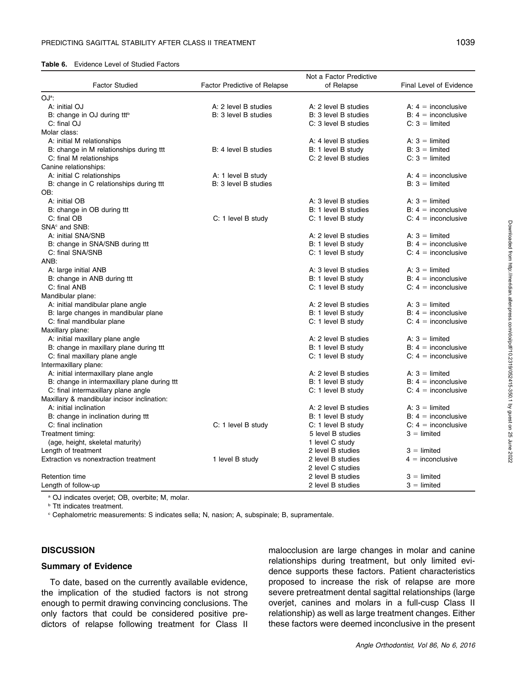#### Table 6. Evidence Level of Studied Factors

|                                              |                                     | Not a Factor Predictive |                                |  |
|----------------------------------------------|-------------------------------------|-------------------------|--------------------------------|--|
| <b>Factor Studied</b>                        | <b>Factor Predictive of Relapse</b> | of Relapse              | <b>Final Level of Evidence</b> |  |
| OJ <sup>a</sup> :                            |                                     |                         |                                |  |
| A: initial OJ                                | A: 2 level B studies                | A: 2 level B studies    | A: $4 =$ inconclusive          |  |
| B: change in OJ during ttt <sup>b</sup>      | B: 3 level B studies                | B: 3 level B studies    | $B: 4 = inconclusive$          |  |
| C: final OJ                                  |                                     | C: 3 level B studies    | $C: 3 =$ limited               |  |
| Molar class:                                 |                                     |                         |                                |  |
| A: initial M relationships                   |                                     | A: 4 level B studies    | $A: 3 =$ limited               |  |
| B: change in M relationships during ttt      | B: 4 level B studies                | B: 1 level B study      | $B: 3 =$ limited               |  |
| C: final M relationships                     |                                     | C: 2 level B studies    | $C: 3 =$ limited               |  |
| Canine relationships:                        |                                     |                         |                                |  |
| A: initial C relationships                   | A: 1 level B study                  |                         | A: $4 =$ inconclusive          |  |
| B: change in C relationships during ttt      | B: 3 level B studies                |                         | $B: 3 =$ limited               |  |
| OB:                                          |                                     |                         |                                |  |
| A: initial OB                                |                                     | A: 3 level B studies    | $A: 3 =$ limited               |  |
| B: change in OB during ttt                   |                                     | B: 1 level B studies    | $B: 4 = inconclusive$          |  |
| C: final OB                                  | C: 1 level B study                  | C: 1 level B study      | C: $4 =$ inconclusive          |  |
| SNA <sup>c</sup> and SNB:                    |                                     |                         |                                |  |
| A: initial SNA/SNB                           |                                     | A: 2 level B studies    | $A: 3 =$ limited               |  |
| B: change in SNA/SNB during ttt              |                                     | B: 1 level B study      | $B: 4 = inconclusive$          |  |
| C: final SNA/SNB                             |                                     | C: 1 level B study      | C: $4 =$ inconclusive          |  |
| ANB:                                         |                                     |                         |                                |  |
| A: large initial ANB                         |                                     | A: 3 level B studies    | $A: 3 =$ limited               |  |
| B: change in ANB during ttt                  |                                     | B: 1 level B study      | $B: 4 = inconclusive$          |  |
| C: final ANB                                 |                                     | C: 1 level B study      | $C: 4 = inconclusive$          |  |
| Mandibular plane:                            |                                     |                         |                                |  |
| A: initial mandibular plane angle            |                                     | A: 2 level B studies    | $A: 3 =$ limited               |  |
| B: large changes in mandibular plane         |                                     | B: 1 level B study      | $B: 4 = inconclusive$          |  |
| C: final mandibular plane                    |                                     | C: 1 level B study      | C: $4 =$ inconclusive          |  |
| Maxillary plane:                             |                                     |                         |                                |  |
| A: initial maxillary plane angle             |                                     | A: 2 level B studies    | $A: 3 =$ limited               |  |
| B: change in maxillary plane during ttt      |                                     | B: 1 level B study      | $B: 4 = inconclusive$          |  |
| C: final maxillary plane angle               |                                     | C: 1 level B study      | C: $4 =$ inconclusive          |  |
| Intermaxillary plane:                        |                                     |                         |                                |  |
| A: initial intermaxillary plane angle        |                                     | A: 2 level B studies    | $A: 3 =$ limited               |  |
| B: change in intermaxillary plane during ttt |                                     | B: 1 level B study      | $B: 4 = inconclusive$          |  |
| C: final intermaxillary plane angle          |                                     | C: 1 level B study      | $C: 4 = inconclusive$          |  |
| Maxillary & mandibular incisor inclination:  |                                     |                         |                                |  |
| A: initial inclination                       |                                     | A: 2 level B studies    | $A: 3 =$ limited               |  |
| B: change in inclination during ttt          |                                     | B: 1 level B study      | $B: 4 = inconclusive$          |  |
| C: final inclination                         | C: 1 level B study                  | C: 1 level B study      | C: $4 =$ inconclusive          |  |
| Treatment timing:                            |                                     | 5 level B studies       | $3 =$ limited                  |  |
| (age, height, skeletal maturity)             |                                     | 1 level C study         |                                |  |
| Length of treatment                          |                                     | 2 level B studies       | $3 =$ limited                  |  |
| Extraction vs nonextraction treatment        | 1 level B study                     | 2 level B studies       | $4 =$ inconclusive             |  |
|                                              |                                     | 2 level C studies       |                                |  |
| Retention time                               |                                     | 2 level B studies       | $3 =$ limited                  |  |
| Length of follow-up                          |                                     | 2 level B studies       | $3 =$ limited                  |  |
|                                              |                                     |                         |                                |  |

<sup>a</sup> OJ indicates overjet; OB, overbite; M, molar.

**b** Ttt indicates treatment.

<sup>c</sup> Cephalometric measurements: S indicates sella; N, nasion; A, subspinale; B, supramentale.

#### **DISCUSSION**

#### Summary of Evidence

To date, based on the currently available evidence, the implication of the studied factors is not strong enough to permit drawing convincing conclusions. The only factors that could be considered positive predictors of relapse following treatment for Class II malocclusion are large changes in molar and canine relationships during treatment, but only limited evidence supports these factors. Patient characteristics proposed to increase the risk of relapse are more severe pretreatment dental sagittal relationships (large overjet, canines and molars in a full-cusp Class II relationship) as well as large treatment changes. Either these factors were deemed inconclusive in the present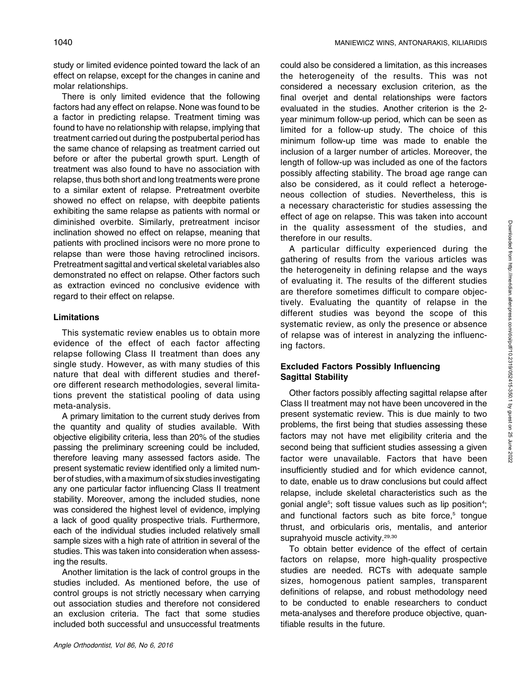study or limited evidence pointed toward the lack of an effect on relapse, except for the changes in canine and molar relationships.

There is only limited evidence that the following factors had any effect on relapse. None was found to be a factor in predicting relapse. Treatment timing was found to have no relationship with relapse, implying that treatment carried out during the postpubertal period has the same chance of relapsing as treatment carried out before or after the pubertal growth spurt. Length of treatment was also found to have no association with relapse, thus both short and long treatments were prone to a similar extent of relapse. Pretreatment overbite showed no effect on relapse, with deepbite patients exhibiting the same relapse as patients with normal or diminished overbite. Similarly, pretreatment incisor inclination showed no effect on relapse, meaning that patients with proclined incisors were no more prone to relapse than were those having retroclined incisors. Pretreatment sagittal and vertical skeletal variables also demonstrated no effect on relapse. Other factors such as extraction evinced no conclusive evidence with regard to their effect on relapse.

# Limitations

This systematic review enables us to obtain more evidence of the effect of each factor affecting relapse following Class II treatment than does any single study. However, as with many studies of this nature that deal with different studies and therefore different research methodologies, several limitations prevent the statistical pooling of data using meta-analysis.

A primary limitation to the current study derives from the quantity and quality of studies available. With objective eligibility criteria, less than 20% of the studies passing the preliminary screening could be included, therefore leaving many assessed factors aside. The present systematic review identified only a limited number of studies, with a maximum of six studies investigating any one particular factor influencing Class II treatment stability. Moreover, among the included studies, none was considered the highest level of evidence, implying a lack of good quality prospective trials. Furthermore, each of the individual studies included relatively small sample sizes with a high rate of attrition in several of the studies. This was taken into consideration when assessing the results.

Another limitation is the lack of control groups in the studies included. As mentioned before, the use of control groups is not strictly necessary when carrying out association studies and therefore not considered an exclusion criteria. The fact that some studies included both successful and unsuccessful treatments could also be considered a limitation, as this increases the heterogeneity of the results. This was not considered a necessary exclusion criterion, as the final overjet and dental relationships were factors evaluated in the studies. Another criterion is the 2 year minimum follow-up period, which can be seen as limited for a follow-up study. The choice of this minimum follow-up time was made to enable the inclusion of a larger number of articles. Moreover, the length of follow-up was included as one of the factors possibly affecting stability. The broad age range can also be considered, as it could reflect a heterogeneous collection of studies. Nevertheless, this is a necessary characteristic for studies assessing the effect of age on relapse. This was taken into account in the quality assessment of the studies, and therefore in our results.

A particular difficulty experienced during the gathering of results from the various articles was the heterogeneity in defining relapse and the ways of evaluating it. The results of the different studies are therefore sometimes difficult to compare objectively. Evaluating the quantity of relapse in the different studies was beyond the scope of this systematic review, as only the presence or absence of relapse was of interest in analyzing the influencing factors.

# Excluded Factors Possibly Influencing Sagittal Stability

Other factors possibly affecting sagittal relapse after Class II treatment may not have been uncovered in the present systematic review. This is due mainly to two problems, the first being that studies assessing these factors may not have met eligibility criteria and the second being that sufficient studies assessing a given factor were unavailable. Factors that have been insufficiently studied and for which evidence cannot, to date, enable us to draw conclusions but could affect relapse, include skeletal characteristics such as the gonial angle<sup>5</sup>; soft tissue values such as lip position<sup>4</sup>; and functional factors such as bite force,<sup>5</sup> tongue thrust, and orbicularis oris, mentalis, and anterior suprahyoid muscle activity.<sup>29,30</sup>

To obtain better evidence of the effect of certain factors on relapse, more high-quality prospective studies are needed. RCTs with adequate sample sizes, homogenous patient samples, transparent definitions of relapse, and robust methodology need to be conducted to enable researchers to conduct meta-analyses and therefore produce objective, quantifiable results in the future.